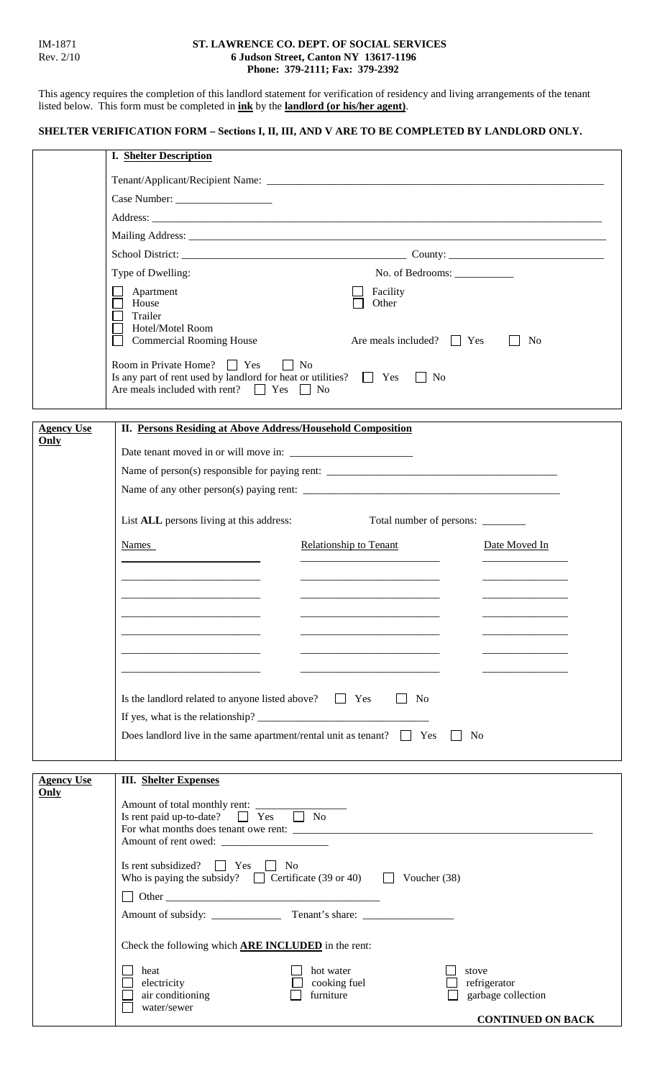## IM-1871 **ST. LAWRENCE CO. DEPT. OF SOCIAL SERVICES**<br>Rev. 2/10 **6 Judson Street, Canton NY 13617-1196** Rev. 2/10 **6 Judson Street, Canton NY 13617-1196 Phone: 379-2111; Fax: 379-2392**

This agency requires the completion of this landlord statement for verification of residency and living arrangements of the tenant listed below. This form must be completed in **ink** by the **landlord (or his/her agent)**.

## **SHELTER VERIFICATION FORM – Sections I, II, III, AND V ARE TO BE COMPLETED BY LANDLORD ONLY.**

|                           | <b>I. Shelter Description</b>                                                                                                |                                |                          |  |
|---------------------------|------------------------------------------------------------------------------------------------------------------------------|--------------------------------|--------------------------|--|
|                           |                                                                                                                              |                                |                          |  |
|                           |                                                                                                                              |                                |                          |  |
|                           |                                                                                                                              |                                |                          |  |
|                           |                                                                                                                              |                                |                          |  |
|                           |                                                                                                                              |                                |                          |  |
|                           | Type of Dwelling:                                                                                                            | No. of Bedrooms: ___________   |                          |  |
|                           | Apartment                                                                                                                    | Facility                       |                          |  |
|                           | House                                                                                                                        | Other                          |                          |  |
|                           | Trailer<br>Hotel/Motel Room                                                                                                  |                                |                          |  |
|                           | <b>Commercial Rooming House</b>                                                                                              | Are meals included? $\Box$ Yes | N <sub>0</sub>           |  |
|                           | Room in Private Home? $\Box$ Yes $\Box$ No                                                                                   |                                |                          |  |
|                           | Is any part of rent used by landlord for heat or utilities? $\Box$ Yes<br>Are meals included with rent? $\Box$ Yes $\Box$ No | $\vert$ No                     |                          |  |
|                           |                                                                                                                              |                                |                          |  |
|                           |                                                                                                                              |                                |                          |  |
| <b>Agency Use</b><br>Only | II. Persons Residing at Above Address/Household Composition                                                                  |                                |                          |  |
|                           |                                                                                                                              |                                |                          |  |
|                           |                                                                                                                              |                                |                          |  |
|                           |                                                                                                                              |                                |                          |  |
|                           | List ALL persons living at this address:<br>Total number of persons: _______                                                 |                                |                          |  |
|                           |                                                                                                                              |                                |                          |  |
|                           | Names                                                                                                                        | <b>Relationship to Tenant</b>  | Date Moved In            |  |
|                           |                                                                                                                              |                                |                          |  |
|                           |                                                                                                                              |                                |                          |  |
|                           |                                                                                                                              |                                |                          |  |
|                           |                                                                                                                              |                                |                          |  |
|                           |                                                                                                                              |                                |                          |  |
|                           |                                                                                                                              |                                |                          |  |
|                           |                                                                                                                              |                                |                          |  |
|                           | Is the landlord related to anyone listed above? $\Box$ Yes<br>$\vert$   No                                                   |                                |                          |  |
|                           |                                                                                                                              |                                |                          |  |
|                           | Does landlord live in the same apartment/rental unit as tenant? $\Box$ Yes<br>No                                             |                                |                          |  |
|                           |                                                                                                                              |                                |                          |  |
| <b>Agency Use</b>         | <b>III.</b> Shelter Expenses                                                                                                 |                                |                          |  |
| Only                      |                                                                                                                              |                                |                          |  |
|                           | Amount of total monthly rent:<br>Is rent paid up-to-date? $\Box$ Yes $\Box$ No                                               |                                |                          |  |
|                           |                                                                                                                              |                                |                          |  |
|                           |                                                                                                                              |                                |                          |  |
|                           | Is rent subsidized? $\Box$ Yes $\Box$ No                                                                                     |                                |                          |  |
|                           | Who is paying the subsidy? $\Box$ Certificate (39 or 40) $\Box$ Voucher (38)                                                 |                                |                          |  |
|                           | $\Box$ Other                                                                                                                 |                                |                          |  |
|                           |                                                                                                                              |                                |                          |  |
|                           | Check the following which ARE INCLUDED in the rent:                                                                          |                                |                          |  |
|                           | heat                                                                                                                         | hot water                      | stove                    |  |
|                           | electricity                                                                                                                  | cooking fuel                   | refrigerator             |  |
|                           | air conditioning<br>water/sewer                                                                                              | furniture                      | garbage collection       |  |
|                           |                                                                                                                              |                                | <b>CONTINUED ON BACK</b> |  |